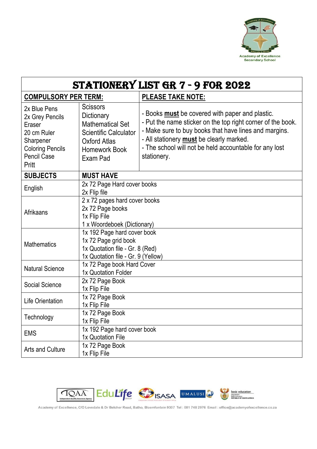

| STATIONERY LIST GR 7 - 9 FOR 2022                                                                                                      |                                                                                                                                              |                                                                                                                                                                                                                                                                                                     |  |  |  |  |
|----------------------------------------------------------------------------------------------------------------------------------------|----------------------------------------------------------------------------------------------------------------------------------------------|-----------------------------------------------------------------------------------------------------------------------------------------------------------------------------------------------------------------------------------------------------------------------------------------------------|--|--|--|--|
| <b>COMPULSORY PER TERM:</b>                                                                                                            |                                                                                                                                              | <b>PLEASE TAKE NOTE:</b>                                                                                                                                                                                                                                                                            |  |  |  |  |
| 2x Blue Pens<br>2x Grey Pencils<br>Eraser<br>20 cm Ruler<br>Sharpener<br><b>Coloring Pencils</b><br><b>Pencil Case</b><br><b>Pritt</b> | <b>Scissors</b><br>Dictionary<br><b>Mathematical Set</b><br><b>Scientific Calculator</b><br><b>Oxford Atlas</b><br>Homework Book<br>Exam Pad | - Books <b>must</b> be covered with paper and plastic.<br>- Put the name sticker on the top right corner of the book.<br>- Make sure to buy books that have lines and margins.<br>- All stationery must be clearly marked.<br>- The school will not be held accountable for any lost<br>stationery. |  |  |  |  |
| <b>SUBJECTS</b>                                                                                                                        | <b>MUST HAVE</b>                                                                                                                             |                                                                                                                                                                                                                                                                                                     |  |  |  |  |
| English                                                                                                                                | 2x 72 Page Hard cover books<br>2x Flip file                                                                                                  |                                                                                                                                                                                                                                                                                                     |  |  |  |  |
| Afrikaans                                                                                                                              | 2 x 72 pages hard cover books<br>2x 72 Page books<br>1x Flip File<br>1 x Woordeboek (Dictionary)                                             |                                                                                                                                                                                                                                                                                                     |  |  |  |  |
| <b>Mathematics</b>                                                                                                                     | 1x 192 Page hard cover book<br>1x 72 Page grid book<br>1x Quotation file - Gr. 8 (Red)<br>1x Quotation file - Gr. 9 (Yellow)                 |                                                                                                                                                                                                                                                                                                     |  |  |  |  |
| <b>Natural Science</b>                                                                                                                 | 1x 72 Page book Hard Cover<br>1x Quotation Folder                                                                                            |                                                                                                                                                                                                                                                                                                     |  |  |  |  |
| <b>Social Science</b>                                                                                                                  | 2x 72 Page Book<br>1x Flip File                                                                                                              |                                                                                                                                                                                                                                                                                                     |  |  |  |  |
| <b>Life Orientation</b>                                                                                                                | 1x 72 Page Book<br>1x Flip File                                                                                                              |                                                                                                                                                                                                                                                                                                     |  |  |  |  |
| Technology                                                                                                                             | 1x 72 Page Book<br>1x Flip File                                                                                                              |                                                                                                                                                                                                                                                                                                     |  |  |  |  |
| <b>EMS</b>                                                                                                                             | 1x 192 Page hard cover book<br>1x Quotation File                                                                                             |                                                                                                                                                                                                                                                                                                     |  |  |  |  |
| <b>Arts and Culture</b>                                                                                                                | 1x 72 Page Book<br>1x Flip File                                                                                                              |                                                                                                                                                                                                                                                                                                     |  |  |  |  |



Academy of Excellence, C/O Lovedale & Dr Belcher Road, Batho, Bloemfontein 9307 Tel: 081 748 2976 Email : office@academyofexcellence.co.za